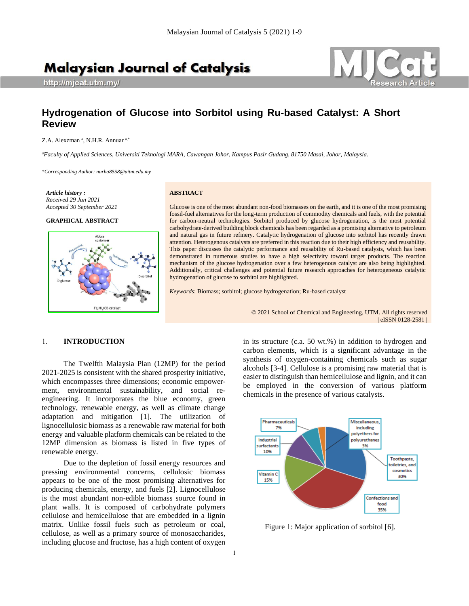# **Malaysian Journal of Catalysis**

http://mjcat.utm.my/



## **Hydrogenation of Glucose into Sorbitol using Ru-based Catalyst: A Short Review**

Z.A. Alexzman<sup>a</sup>, N.H.R. Annuar<sup>a,\*</sup>

*<sup>a</sup>Faculty of Applied Sciences, Universiti Teknologi MARA, Cawangan Johor, Kampus Pasir Gudang, 81750 Masai, Johor, Malaysia.*

\**Corresponding Author: nurha8558@uitm.edu.my*

*Article history : Received 29 Jun 2021 Accepted 30 September 2021*

## **GRAPHICAL ABSTRACT**



#### **ABSTRACT**

Glucose is one of the most abundant non-food biomasses on the earth, and it is one of the most promising fossil-fuel alternatives for the long-term production of commodity chemicals and fuels, with the potential for carbon-neutral technologies. Sorbitol produced by glucose hydrogenation, is the most potential carbohydrate-derived building block chemicals has been regarded as a promising alternative to petroleum and natural gas in future refinery. Catalytic hydrogenation of glucose into sorbitol has recently drawn attention. Heterogenous catalysts are preferred in this reaction due to their high efficiency and reusability. This paper discusses the catalytic performance and reusability of Ru-based catalysts, which has been demonstrated in numerous studies to have a high selectivity toward target products. The reaction mechanism of the glucose hydrogenation over a few heterogenous catalyst are also being highlighted. Additionally, critical challenges and potential future research approaches for heterogeneous catalytic hydrogenation of glucose to sorbitol are highlighted.

*Keywords*: Biomass; sorbitol; glucose hydrogenation; Ru-based catalyst

© 2021 School of Chemical and Engineering, UTM. All rights reserved | eISSN 0128-2581 |

### 1. **INTRODUCTION**

The Twelfth Malaysia Plan (12MP) for the period 2021-2025 is consistent with the shared prosperity initiative, which encompasses three dimensions; economic empowerment, environmental sustainability, and social reengineering. It incorporates the blue economy, green technology, renewable energy, as well as climate change adaptation and mitigation [1]. The utilization of lignocellulosic biomass as a renewable raw material for both energy and valuable platform chemicals can be related to the 12MP dimension as biomass is listed in five types of renewable energy.

Due to the depletion of fossil energy resources and pressing environmental concerns, cellulosic biomass appears to be one of the most promising alternatives for producing chemicals, energy, and fuels [2]. Lignocellulose is the most abundant non-edible biomass source found in plant walls. It is composed of carbohydrate polymers cellulose and hemicellulose that are embedded in a lignin matrix. Unlike fossil fuels such as petroleum or coal, cellulose, as well as a primary source of monosaccharides, including glucose and fructose, has a high content of oxygen

in its structure (c.a. 50 wt.%) in addition to hydrogen and carbon elements, which is a significant advantage in the synthesis of oxygen-containing chemicals such as sugar alcohols [3-4]. Cellulose is a promising raw material that is easier to distinguish than hemicellulose and lignin, and it can be employed in the conversion of various platform chemicals in the presence of various catalysts.



Figure 1: Major application of sorbitol [6].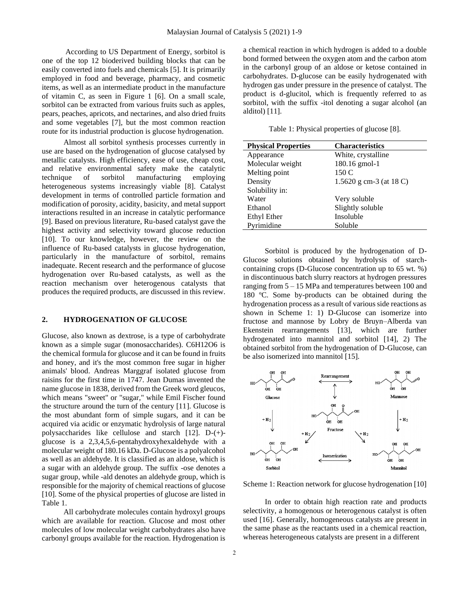According to US Department of Energy, sorbitol is one of the top 12 bioderived building blocks that can be easily converted into fuels and chemicals [5]. It is primarily employed in food and beverage, pharmacy, and cosmetic items, as well as an intermediate product in the manufacture of vitamin C, as seen in Figure 1 [6]. On a small scale, sorbitol can be extracted from various fruits such as apples, pears, peaches, apricots, and nectarines, and also dried fruits and some vegetables [7], but the most common reaction route for its industrial production is glucose hydrogenation.

Almost all sorbitol synthesis processes currently in use are based on the hydrogenation of glucose catalysed by metallic catalysts. High efficiency, ease of use, cheap cost, and relative environmental safety make the catalytic technique of sorbitol manufacturing employing heterogeneous systems increasingly viable [8]. Catalyst development in terms of controlled particle formation and modification of porosity, acidity, basicity, and metal support interactions resulted in an increase in catalytic performance [9]. Based on previous literature, Ru-based catalyst gave the highest activity and selectivity toward glucose reduction [10]. To our knowledge, however, the review on the influence of Ru-based catalysts in glucose hydrogenation, particularly in the manufacture of sorbitol, remains inadequate. Recent research and the performance of glucose hydrogenation over Ru-based catalysts, as well as the reaction mechanism over heterogenous catalysts that produces the required products, are discussed in this review.

## **2. HYDROGENATION OF GLUCOSE**

Glucose, also known as dextrose, is a type of carbohydrate known as a simple sugar (monosaccharides). C6H12O6 is the chemical formula for glucose and it can be found in fruits and honey, and it's the most common free sugar in higher animals' blood. Andreas Marggraf isolated glucose from raisins for the first time in 1747. Jean Dumas invented the name glucose in 1838, derived from the Greek word gleucos, which means "sweet" or "sugar," while Emil Fischer found the structure around the turn of the century [11]. Glucose is the most abundant form of simple sugars, and it can be acquired via acidic or enzymatic hydrolysis of large natural polysaccharides like cellulose and starch [12]. D-(+) glucose is a 2,3,4,5,6-pentahydroxyhexaldehyde with a molecular weight of 180.16 kDa. D-Glucose is a polyalcohol as well as an aldehyde. It is classified as an aldose, which is a sugar with an aldehyde group. The suffix -ose denotes a sugar group, while -ald denotes an aldehyde group, which is responsible for the majority of chemical reactions of glucose [10]. Some of the physical properties of glucose are listed in Table 1.

All carbohydrate molecules contain hydroxyl groups which are available for reaction. Glucose and most other molecules of low molecular weight carbohydrates also have carbonyl groups available for the reaction. Hydrogenation is

a chemical reaction in which hydrogen is added to a double bond formed between the oxygen atom and the carbon atom in the carbonyl group of an aldose or ketose contained in carbohydrates. D-glucose can be easily hydrogenated with hydrogen gas under pressure in the presence of catalyst. The product is d-glucitol, which is frequently referred to as sorbitol, with the suffix -itol denoting a sugar alcohol (an alditol) [11].

Table 1: Physical properties of glucose [8].

| <b>Physical Properties</b> | <b>Characteristics</b>  |  |  |  |  |
|----------------------------|-------------------------|--|--|--|--|
| Appearance                 | White, crystalline      |  |  |  |  |
| Molecular weight           | 180.16 gmol-1           |  |  |  |  |
| Melting point              | 150 C                   |  |  |  |  |
| Density                    | 1.5620 g cm-3 (at 18 C) |  |  |  |  |
| Solubility in:             |                         |  |  |  |  |
| Water                      | Very soluble            |  |  |  |  |
| Ethanol                    | Slightly soluble        |  |  |  |  |
| Ethyl Ether                | Insoluble               |  |  |  |  |
| Pyrimidine                 | Soluble                 |  |  |  |  |

Sorbitol is produced by the hydrogenation of D-Glucose solutions obtained by hydrolysis of starchcontaining crops (D-Glucose concentration up to 65 wt. %) in discontinuous batch slurry reactors at hydrogen pressures ranging from 5 – 15 MPa and temperatures between 100 and 180 ºC. Some by-products can be obtained during the hydrogenation process as a result of various side reactions as shown in Scheme 1: 1) D-Glucose can isomerize into fructose and mannose by Lobry de Bruyn–Alberda van Ekenstein rearrangements [13], which are further hydrogenated into mannitol and sorbitol [14], 2) The obtained sorbitol from the hydrogenation of D-Glucose, can be also isomerized into mannitol [15].



Scheme 1: Reaction network for glucose hydrogenation [10]

In order to obtain high reaction rate and products selectivity, a homogenous or heterogenous catalyst is often used [16]. Generally, homogeneous catalysts are present in the same phase as the reactants used in a chemical reaction, whereas heterogeneous catalysts are present in a different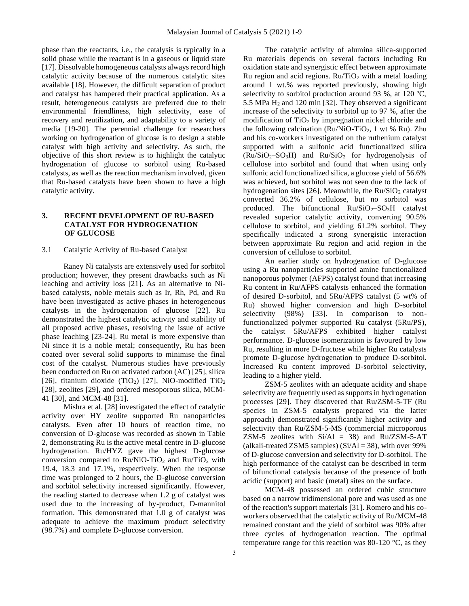phase than the reactants, i.e., the catalysis is typically in a solid phase while the reactant is in a gaseous or liquid state [17]. Dissolvable homogeneous catalysts always record high catalytic activity because of the numerous catalytic sites available [18]. However, the difficult separation of product and catalyst has hampered their practical application. As a result, heterogeneous catalysts are preferred due to their environmental friendliness, high selectivity, ease of recovery and reutilization, and adaptability to a variety of media [19-20]. The perennial challenge for researchers working on hydrogenation of glucose is to design a stable catalyst with high activity and selectivity. As such, the objective of this short review is to highlight the catalytic hydrogenation of glucose to sorbitol using Ru-based catalysts, as well as the reaction mechanism involved, given that Ru-based catalysts have been shown to have a high catalytic activity.

## **3. RECENT DEVELOPMENT OF RU-BASED CATALYST FOR HYDROGENATION OF GLUCOSE**

#### 3.1 Catalytic Activity of Ru-based Catalyst

Raney Ni catalysts are extensively used for sorbitol production; however, they present drawbacks such as Ni leaching and activity loss [21]. As an alternative to Nibased catalysts, noble metals such as Ir, Rh, Pd, and Ru have been investigated as active phases in heterogeneous catalysts in the hydrogenation of glucose [22]. Ru demonstrated the highest catalytic activity and stability of all proposed active phases, resolving the issue of active phase leaching [23-24]. Ru metal is more expensive than Ni since it is a noble metal; consequently, Ru has been coated over several solid supports to minimise the final cost of the catalyst. Numerous studies have previously been conducted on Ru on activated carbon (AC) [25], silica [26], titanium dioxide (TiO<sub>2</sub>) [27], NiO-modified TiO<sub>2</sub> [28], zeolites [29], and ordered mesoporous silica, MCM-41 [30], and MCM-48 [31].

Mishra et al. [28] investigated the effect of catalytic activity over HY zeolite supported Ru nanoparticles catalysts. Even after 10 hours of reaction time, no conversion of D-glucose was recorded as shown in Table 2, demonstrating Ru is the active metal centre in D-glucose hydrogenation. Ru/HYZ gave the highest D-glucose conversion compared to  $Ru/NiO-TiO<sub>2</sub>$  and  $Ru/TiO<sub>2</sub>$  with 19.4, 18.3 and 17.1%, respectively. When the response time was prolonged to 2 hours, the D-glucose conversion and sorbitol selectivity increased significantly. However, the reading started to decrease when 1.2 g of catalyst was used due to the increasing of by-product, D-mannitol formation. This demonstrated that 1.0 g of catalyst was adequate to achieve the maximum product selectivity (98.7%) and complete D-glucose conversion.

The catalytic activity of alumina silica-supported Ru materials depends on several factors including Ru oxidation state and synergistic effect between approximate Ru region and acid regions.  $Ru/TiO<sub>2</sub>$  with a metal loading around 1 wt.% was reported previously, showing high selectivity to sorbitol production around 93 %, at 120 °C, 5.5 MPa  $H_2$  and 120 min [32]. They observed a significant increase of the selectivity to sorbitol up to 97 %, after the modification of  $TiO<sub>2</sub>$  by impregnation nickel chloride and the following calcination ( $Ru/NiO-TiO<sub>2</sub>$ , 1 wt % Ru). Zhu and his co-workers investigated on the ruthenium catalyst supported with a sulfonic acid functionalized silica  $(Ru/SiO<sub>2</sub>-SO<sub>3</sub>H)$  and  $Ru/SiO<sub>2</sub>$  for hydrogenolysis of cellulose into sorbitol and found that when using only sulfonic acid functionalized silica, a glucose yield of 56.6% was achieved, but sorbitol was not seen due to the lack of hydrogenation sites [26]. Meanwhile, the  $Ru/SiO<sub>2</sub>$  catalyst converted 36.2% of cellulose, but no sorbitol was produced. The bifunctional  $Ru/SiO<sub>2</sub>-SO<sub>3</sub>H$  catalyst revealed superior catalytic activity, converting 90.5% cellulose to sorbitol, and yielding 61.2% sorbitol. They specifically indicated a strong synergistic interaction between approximate Ru region and acid region in the conversion of cellulose to sorbitol.

An earlier study on hydrogenation of D-glucose using a Ru nanoparticles supported amine functionalized nanoporous polymer (AFPS) catalyst found that increasing Ru content in Ru/AFPS catalysts enhanced the formation of desired D-sorbitol, and 5Ru/AFPS catalyst (5 wt% of Ru) showed higher conversion and high D-sorbitol selectivity (98%) [33]. In comparison to nonfunctionalized polymer supported Ru catalyst (5Ru/PS), the catalyst 5Ru/AFPS exhibited higher catalyst performance. D-glucose isomerization is favoured by low Ru, resulting in more D-fructose while higher Ru catalysts promote D-glucose hydrogenation to produce D-sorbitol. Increased Ru content improved D-sorbitol selectivity, leading to a higher yield.

ZSM-5 zeolites with an adequate acidity and shape selectivity are frequently used as supports in hydrogenation processes [29]. They discovered that Ru/ZSM-5-TF (Ru species in ZSM-5 catalysts prepared via the latter approach) demonstrated significantly higher activity and selectivity than Ru/ZSM-5-MS (commercial microporous ZSM-5 zeolites with  $Si/Al = 38$ ) and  $Ru/ZSM-5-AT$ (alkali-treated ZSM5 samples) ( $Si/Al = 38$ ), with over 99% of D-glucose conversion and selectivity for D-sorbitol. The high performance of the catalyst can be described in term of bifunctional catalysis because of the presence of both acidic (support) and basic (metal) sites on the surface.

MCM-48 possessed an ordered cubic structure based on a narrow tridimensional pore and was used as one of the reaction's support materials [31]. Romero and his coworkers observed that the catalytic activity of Ru/MCM-48 remained constant and the yield of sorbitol was 90% after three cycles of hydrogenation reaction. The optimal temperature range for this reaction was 80-120 °C, as they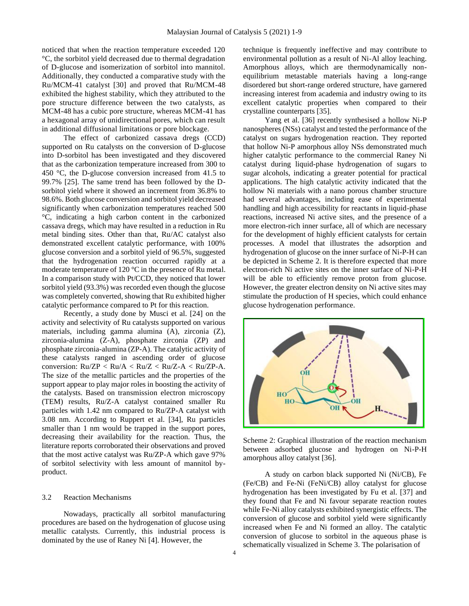noticed that when the reaction temperature exceeded 120 °C, the sorbitol yield decreased due to thermal degradation of D-glucose and isomerization of sorbitol into mannitol. Additionally, they conducted a comparative study with the Ru/MCM-41 catalyst [30] and proved that Ru/MCM-48 exhibited the highest stability, which they attributed to the pore structure difference between the two catalysts, as MCM-48 has a cubic pore structure, whereas MCM-41 has a hexagonal array of unidirectional pores, which can result in additional diffusional limitations or pore blockage.

The effect of carbonized cassava dregs (CCD) supported on Ru catalysts on the conversion of D-glucose into D-sorbitol has been investigated and they discovered that as the carbonization temperature increased from 300 to 450 °C, the D-glucose conversion increased from 41.5 to 99.7% [25]. The same trend has been followed by the Dsorbitol yield where it showed an increment from 36.8% to 98.6%. Both glucose conversion and sorbitol yield decreased significantly when carbonization temperatures reached 500 °C, indicating a high carbon content in the carbonized cassava dregs, which may have resulted in a reduction in Ru metal binding sites. Other than that, Ru/AC catalyst also demonstrated excellent catalytic performance, with 100% glucose conversion and a sorbitol yield of 96.5%, suggested that the hydrogenation reaction occurred rapidly at a moderate temperature of 120 °C in the presence of Ru metal. In a comparison study with Pt/CCD, they noticed that lower sorbitol yield (93.3%) was recorded even though the glucose was completely converted, showing that Ru exhibited higher catalytic performance compared to Pt for this reaction.

Recently, a study done by Musci et al. [24] on the activity and selectivity of Ru catalysts supported on various materials, including gamma alumina (A), zirconia (Z), zirconia-alumina (Z-A), phosphate zirconia (ZP) and phosphate zirconia-alumina (ZP-A). The catalytic activity of these catalysts ranged in ascending order of glucose conversion:  $Ru/ZP < Ru/A < Ru/Z < Ru/Z-A < Ru/ZP-A$ . The size of the metallic particles and the properties of the support appear to play major roles in boosting the activity of the catalysts. Based on transmission electron microscopy (TEM) results, Ru/Z-A catalyst contained smaller Ru particles with 1.42 nm compared to Ru/ZP-A catalyst with 3.08 nm. According to Ruppert et al. [34], Ru particles smaller than 1 nm would be trapped in the support pores, decreasing their availability for the reaction. Thus, the literature reports corroborated their observations and proved that the most active catalyst was Ru/ZP-A which gave 97% of sorbitol selectivity with less amount of mannitol byproduct.

## 3.2 Reaction Mechanisms

Nowadays, practically all sorbitol manufacturing procedures are based on the hydrogenation of glucose using metallic catalysts. Currently, this industrial process is dominated by the use of Raney Ni [4]. However, the

technique is frequently ineffective and may contribute to environmental pollution as a result of Ni-Al alloy leaching. Amorphous alloys, which are thermodynamically nonequilibrium metastable materials having a long-range disordered but short-range ordered structure, have garnered increasing interest from academia and industry owing to its excellent catalytic properties when compared to their crystalline counterparts [35].

Yang et al. [36] recently synthesised a hollow Ni-P nanospheres (NSs) catalyst and tested the performance of the catalyst on sugars hydrogenation reaction. They reported that hollow Ni-P amorphous alloy NSs demonstrated much higher catalytic performance to the commercial Raney Ni catalyst during liquid-phase hydrogenation of sugars to sugar alcohols, indicating a greater potential for practical applications. The high catalytic activity indicated that the hollow Ni materials with a nano porous chamber structure had several advantages, including ease of experimental handling and high accessibility for reactants in liquid-phase reactions, increased Ni active sites, and the presence of a more electron-rich inner surface, all of which are necessary for the development of highly efficient catalysts for certain processes. A model that illustrates the adsorption and hydrogenation of glucose on the inner surface of Ni-P-H can be depicted in Scheme 2. It is therefore expected that more electron-rich Ni active sites on the inner surface of Ni-P-H will be able to efficiently remove proton from glucose. However, the greater electron density on Ni active sites may stimulate the production of H species, which could enhance glucose hydrogenation performance.



Scheme 2: Graphical illustration of the reaction mechanism between adsorbed glucose and hydrogen on Ni-P-H amorphous alloy catalyst [36].

A study on carbon black supported Ni (Ni/CB), Fe (Fe/CB) and Fe-Ni (FeNi/CB) alloy catalyst for glucose hydrogenation has been investigated by Fu et al. [37] and they found that Fe and Ni favour separate reaction routes while Fe-Ni alloy catalysts exhibited synergistic effects. The conversion of glucose and sorbitol yield were significantly increased when Fe and Ni formed an alloy. The catalytic conversion of glucose to sorbitol in the aqueous phase is schematically visualized in Scheme 3. The polarisation of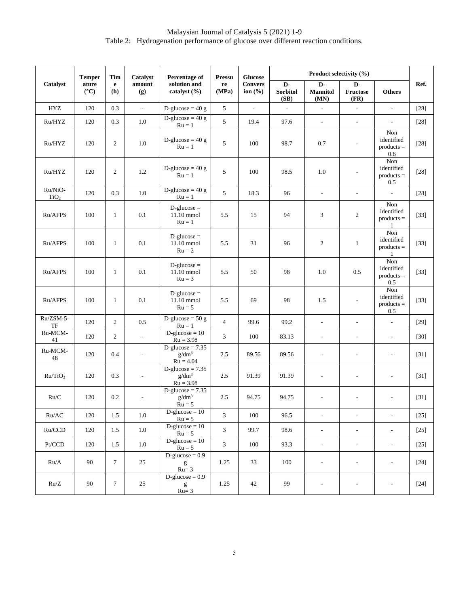Malaysian Journal of Catalysis 5 (2021) 1-9 Table 2:Hydrogenation performance of glucose over different reaction conditions.

| Catalyst                    | <b>Temper</b><br>ature<br>$({}^{\circ}{\rm C})$ | Tim<br>$\mathbf e$<br>(h) | <b>Catalyst</b><br>amount<br>(g) | Percentage of<br>solution and<br>catalyst (%) | <b>Pressu</b><br>re<br>(MPa) | <b>Glucose</b><br><b>Convers</b><br>ion $(\% )$ | Product selectivity (%)       |                               |                               |                                          |        |
|-----------------------------|-------------------------------------------------|---------------------------|----------------------------------|-----------------------------------------------|------------------------------|-------------------------------------------------|-------------------------------|-------------------------------|-------------------------------|------------------------------------------|--------|
|                             |                                                 |                           |                                  |                                               |                              |                                                 | D-<br><b>Sorbitol</b><br>(SB) | D-<br><b>Mannitol</b><br>(MN) | D-<br><b>Fructose</b><br>(FR) | <b>Others</b>                            | Ref.   |
| <b>HYZ</b>                  | 120                                             | 0.3                       | ÷.                               | D-glucose = $40 g$                            | 5                            | $\mathcal{L}$                                   | $\Box$                        | $\overline{\phantom{a}}$      | $\overline{\phantom{a}}$      | $\overline{\phantom{a}}$                 | $[28]$ |
| Ru/HYZ                      | 120                                             | 0.3                       | 1.0                              | D-glucose = $40 g$<br>$Ru = 1$                | 5                            | 19.4                                            | 97.6                          | $\mathcal{L}_{\mathcal{A}}$   | $\overline{\phantom{a}}$      | $\overline{\phantom{a}}$                 | $[28]$ |
| Ru/HYZ                      | 120                                             | $\overline{2}$            | 1.0                              | D-glucose = $40 g$<br>$Ru = 1$                | 5                            | 100                                             | 98.7                          | 0.7                           | $\qquad \qquad \blacksquare$  | Non<br>identified<br>$products =$<br>0.6 | $[28]$ |
| Ru/HYZ                      | 120                                             | $\overline{2}$            | 1.2                              | D-glucose = $40 g$<br>$Ru = 1$                | 5                            | 100                                             | 98.5                          | 1.0                           | $\qquad \qquad \blacksquare$  | Non<br>identified<br>$products =$<br>0.5 | $[28]$ |
| Ru/NiO-<br>TiO <sub>2</sub> | 120                                             | 0.3                       | 1.0                              | D-glucose = $40 g$<br>$Ru = 1$                | 5                            | 18.3                                            | 96                            | $\overline{\phantom{a}}$      | ÷,                            | $\overline{a}$                           | $[28]$ |
| Ru/AFPS                     | 100                                             | 1                         | 0.1                              | $D$ -glucose =<br>11.10 mmol<br>$Ru = 1$      | 5.5                          | 15                                              | 94                            | 3                             | $\overline{c}$                | Non<br>identified<br>$products =$        | $[33]$ |
| Ru/AFPS                     | 100                                             | $\mathbf{1}$              | 0.1                              | $D$ -glucose =<br>11.10 mmol<br>$Ru = 2$      | 5.5                          | 31                                              | 96                            | 2                             | $\mathbf{1}$                  | Non<br>identified<br>$products =$<br>1   | $[33]$ |
| Ru/AFPS                     | 100                                             | 1                         | 0.1                              | $D$ -glucose =<br>11.10 mmol<br>$Ru = 3$      | 5.5                          | 50                                              | 98                            | 1.0                           | 0.5                           | Non<br>identified<br>$products =$<br>0.5 | $[33]$ |
| Ru/AFPS                     | 100                                             | 1                         | 0.1                              | $D$ -glucose =<br>11.10 mmol<br>$Ru = 5$      | 5.5                          | 69                                              | 98                            | 1.5                           | $\overline{\phantom{a}}$      | Non<br>identified<br>$products =$<br>0.5 | $[33]$ |
| Ru/ZSM-5-<br>TF             | 120                                             | $\overline{2}$            | $0.5\,$                          | D-glucose = $50 g$<br>$Ru = 1$                | $\overline{4}$               | 99.6                                            | 99.2                          | $\overline{\phantom{a}}$      |                               | $\overline{a}$                           | $[29]$ |
| Ru-MCM-<br>41               | 120                                             | $\overline{2}$            | $\overline{\phantom{a}}$         | $D-glucose = 10$<br>$Ru = 3.98$               | 3                            | 100                                             | 83.13                         | $\overline{\phantom{a}}$      | L,                            | $\overline{\phantom{a}}$                 | $[30]$ |
| Ru-MCM-<br>48               | 120                                             | 0.4                       | $\overline{\phantom{a}}$         | $D-glucose = 7.35$<br>$g/dm^3$<br>$Ru = 4.04$ | 2.5                          | 89.56                                           | 89.56                         | $\overline{\phantom{a}}$      | $\overline{a}$                | L,                                       | $[31]$ |
| Ru/TiO <sub>2</sub>         | 120                                             | 0.3                       | $\overline{\phantom{a}}$         | $D-glucose = 7.35$<br>$g/dm^3$<br>$Ru = 3.98$ | 2.5                          | 91.39                                           | 91.39                         | $\overline{a}$                | ÷,                            | $\overline{a}$                           | $[31]$ |
| Ru/C                        | 120                                             | 0.2                       | $\overline{a}$                   | $D-glucose = 7.35$<br>$g/dm^3$<br>$Ru = 5$    | 2.5                          | 94.75                                           | 94.75                         |                               |                               |                                          | $[31]$ |
| $\rm Ru/AC$                 | 120                                             | 1.5                       | $1.0\,$                          | $D-glucose = 10$<br>$Ru = 5$                  | 3                            | 100                                             | 96.5                          | $\overline{\phantom{a}}$      | $\Box$                        | $\overline{\phantom{a}}$                 | $[25]$ |
| Ru/CCD                      | 120                                             | 1.5                       | $1.0\,$                          | $D-glucose = 10$<br>$Ru = 5$                  | $\mathfrak{Z}$               | 99.7                                            | 98.6                          | $\overline{\phantom{a}}$      | $\overline{\phantom{a}}$      | $\mathcal{L}_{\mathcal{A}}$              | $[25]$ |
| Pt/CCD                      | 120                                             | 1.5                       | 1.0                              | $D-glucose = 10$<br>$Ru = 5$                  | 3                            | 100                                             | 93.3                          | $\overline{\phantom{a}}$      | $\overline{\phantom{a}}$      | $\blacksquare$                           | $[25]$ |
| Ru/A                        | 90                                              | $\tau$                    | 25                               | $D-glucose = 0.9$<br>g<br>$Ru=3$              | 1.25                         | 33                                              | 100                           | $\overline{\phantom{a}}$      | $\overline{\phantom{a}}$      | $\blacksquare$                           | $[24]$ |
| Ru/Z                        | 90                                              | $\tau$                    | 25                               | $D-glucose = 0.9$<br>$\frac{g}{Ru=3}$         | 1.25                         | 42                                              | 99                            | $\overline{\phantom{a}}$      | $\qquad \qquad \blacksquare$  | $\overline{\phantom{a}}$                 | $[24]$ |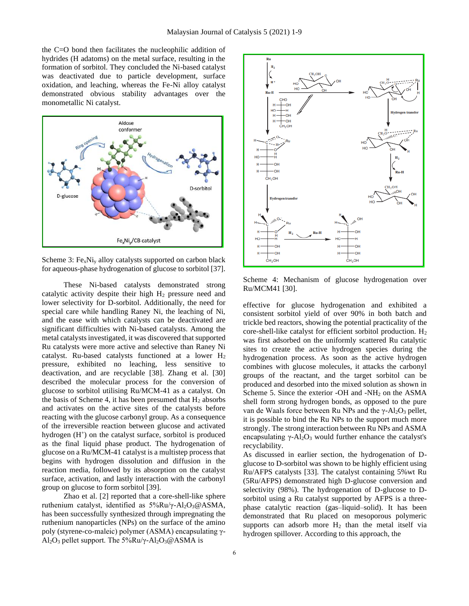the C=O bond then facilitates the nucleophilic addition of hydrides (H adatoms) on the metal surface, resulting in the formation of sorbitol. They concluded the Ni-based catalyst was deactivated due to particle development, surface oxidation, and leaching, whereas the Fe-Ni alloy catalyst demonstrated obvious stability advantages over the monometallic Ni catalyst.



Scheme 3:  $Fe<sub>x</sub>Ni<sub>y</sub>$  alloy catalysts supported on carbon black for aqueous-phase hydrogenation of glucose to sorbitol [37].

These Ni-based catalysts demonstrated strong catalytic activity despite their high  $H_2$  pressure need and lower selectivity for D-sorbitol. Additionally, the need for special care while handling Raney Ni, the leaching of Ni, and the ease with which catalysts can be deactivated are significant difficulties with Ni-based catalysts. Among the metal catalysts investigated, it was discovered that supported Ru catalysts were more active and selective than Raney Ni catalyst. Ru-based catalysts functioned at a lower H<sup>2</sup> pressure, exhibited no leaching, less sensitive to deactivation, and are recyclable [38]. Zhang et al. [30] described the molecular process for the conversion of glucose to sorbitol utilising Ru/MCM-41 as a catalyst. On the basis of Scheme 4, it has been presumed that  $H_2$  absorbs and activates on the active sites of the catalysts before reacting with the glucose carbonyl group. As a consequence of the irreversible reaction between glucose and activated hydrogen (H<sup>+</sup>) on the catalyst surface, sorbitol is produced as the final liquid phase product. The hydrogenation of glucose on a Ru/MCM-41 catalyst is a multistep process that begins with hydrogen dissolution and diffusion in the reaction media, followed by its absorption on the catalyst surface, activation, and lastly interaction with the carbonyl group on glucose to form sorbitol [39].

Zhao et al. [2] reported that a core-shell-like sphere ruthenium catalyst, identified as 5%Ru/γ-Al2O3@ASMA, has been successfully synthesized through impregnating the ruthenium nanoparticles (NPs) on the surface of the amino poly (styrene-co-maleic) polymer (ASMA) encapsulating γ-Al<sub>2</sub>O<sub>3</sub> pellet support. The  $5\%Ru/\gamma$ -Al<sub>2</sub>O<sub>3</sub>@ASMA is



Scheme 4: Mechanism of glucose hydrogenation over Ru/MCM41 [30].

effective for glucose hydrogenation and exhibited a consistent sorbitol yield of over 90% in both batch and trickle bed reactors, showing the potential practicality of the core-shell-like catalyst for efficient sorbitol production.  $H_2$ was first adsorbed on the uniformly scattered Ru catalytic sites to create the active hydrogen species during the hydrogenation process. As soon as the active hydrogen combines with glucose molecules, it attacks the carbonyl groups of the reactant, and the target sorbitol can be produced and desorbed into the mixed solution as shown in Scheme 5. Since the exterior -OH and - $NH<sub>2</sub>$  on the ASMA shell form strong hydrogen bonds, as opposed to the pure van de Waals force between Ru NPs and the γ-Al<sub>2</sub>O<sub>3</sub> pellet, it is possible to bind the Ru NPs to the support much more strongly. The strong interaction between Ru NPs and ASMA encapsulating  $\gamma$ -Al<sub>2</sub>O<sub>3</sub> would further enhance the catalyst's recyclability.

As discussed in earlier section, the hydrogenation of Dglucose to D-sorbitol was shown to be highly efficient using Ru/AFPS catalysts [33]. The catalyst containing 5%wt Ru (5Ru/AFPS) demonstrated high D-glucose conversion and selectivity (98%). The hydrogenation of D-glucose to Dsorbitol using a Ru catalyst supported by AFPS is a threephase catalytic reaction (gas–liquid–solid). It has been demonstrated that Ru placed on mesoporous polymeric supports can adsorb more  $H_2$  than the metal itself via hydrogen spillover. According to this approach, the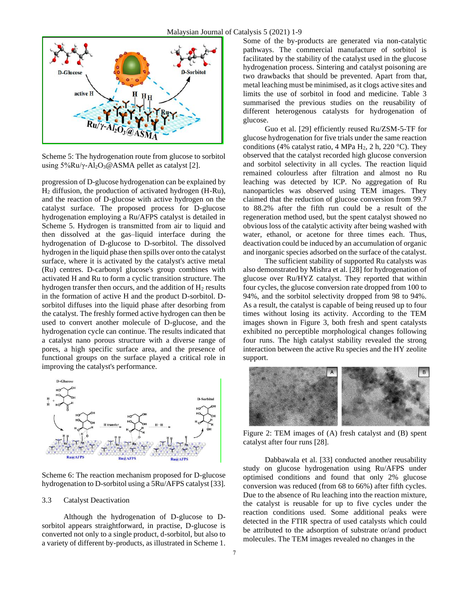

Scheme 5: The hydrogenation route from glucose to sorbitol using  $5\%$ Ru/γ-Al<sub>2</sub>O<sub>3</sub>@ASMA pellet as catalyst [2].

progression of D-glucose hydrogenation can be explained by H<sup>2</sup> diffusion, the production of activated hydrogen (H-Ru), and the reaction of D-glucose with active hydrogen on the catalyst surface. The proposed process for D-glucose hydrogenation employing a Ru/AFPS catalyst is detailed in Scheme 5. Hydrogen is transmitted from air to liquid and then dissolved at the gas–liquid interface during the hydrogenation of D-glucose to D-sorbitol. The dissolved hydrogen in the liquid phase then spills over onto the catalyst surface, where it is activated by the catalyst's active metal (Ru) centres. D-carbonyl glucose's group combines with activated H and Ru to form a cyclic transition structure. The hydrogen transfer then occurs, and the addition of  $H_2$  results in the formation of active H and the product D-sorbitol. Dsorbitol diffuses into the liquid phase after desorbing from the catalyst. The freshly formed active hydrogen can then be used to convert another molecule of D-glucose, and the hydrogenation cycle can continue. The results indicated that a catalyst nano porous structure with a diverse range of pores, a high specific surface area, and the presence of functional groups on the surface played a critical role in improving the catalyst's performance.



Scheme 6: The reaction mechanism proposed for D-glucose hydrogenation to D-sorbitol using a 5Ru/AFPS catalyst [33].

#### 3.3 Catalyst Deactivation

Although the hydrogenation of D-glucose to Dsorbitol appears straightforward, in practise, D-glucose is converted not only to a single product, d-sorbitol, but also to a variety of different by-products, as illustrated in Scheme 1.

Some of the by-products are generated via non-catalytic pathways. The commercial manufacture of sorbitol is facilitated by the stability of the catalyst used in the glucose hydrogenation process. Sintering and catalyst poisoning are two drawbacks that should be prevented. Apart from that, metal leaching must be minimised, as it clogs active sites and limits the use of sorbitol in food and medicine. Table 3 summarised the previous studies on the reusability of different heterogenous catalysts for hydrogenation of glucose.

Guo et al. [29] efficiently reused Ru/ZSM-5-TF for glucose hydrogenation for five trials under the same reaction conditions (4% catalyst ratio, 4 MPa H<sub>2</sub>, 2 h, 220 °C). They observed that the catalyst recorded high glucose conversion and sorbitol selectivity in all cycles. The reaction liquid remained colourless after filtration and almost no Ru leaching was detected by ICP. No aggregation of Ru nanoparticles was observed using TEM images. They claimed that the reduction of glucose conversion from 99.7 to 88.2% after the fifth run could be a result of the regeneration method used, but the spent catalyst showed no obvious loss of the catalytic activity after being washed with water, ethanol, or acetone for three times each. Thus, deactivation could be induced by an accumulation of organic and inorganic species adsorbed on the surface of the catalyst.

The sufficient stability of supported Ru catalysts was also demonstrated by Mishra et al. [28] for hydrogenation of glucose over Ru/HYZ catalyst. They reported that within four cycles, the glucose conversion rate dropped from 100 to 94%, and the sorbitol selectivity dropped from 98 to 94%. As a result, the catalyst is capable of being reused up to four times without losing its activity. According to the TEM images shown in Figure 3, both fresh and spent catalysts exhibited no perceptible morphological changes following four runs. The high catalyst stability revealed the strong interaction between the active Ru species and the HY zeolite support.



Figure 2: TEM images of (A) fresh catalyst and (B) spent catalyst after four runs [28].

Dabbawala et al. [33] conducted another reusability study on glucose hydrogenation using Ru/AFPS under optimised conditions and found that only 2% glucose conversion was reduced (from 68 to 66%) after fifth cycles. Due to the absence of Ru leaching into the reaction mixture, the catalyst is reusable for up to five cycles under the reaction conditions used. Some additional peaks were detected in the FTIR spectra of used catalysts which could be attributed to the adsorption of substrate or/and product molecules. The TEM images revealed no changes in the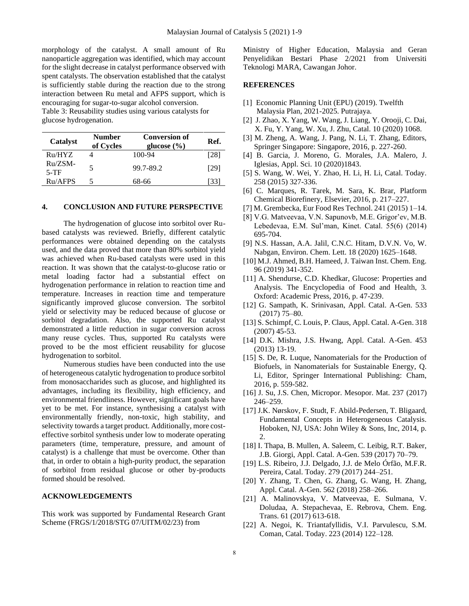morphology of the catalyst. A small amount of Ru nanoparticle aggregation was identified, which may account for the slight decrease in catalyst performance observed with spent catalysts. The observation established that the catalyst is sufficiently stable during the reaction due to the strong interaction between Ru metal and AFPS support, which is encouraging for sugar-to-sugar alcohol conversion. Table 3: Reusability studies using various catalysts for glucose hydrogenation.

| Catalyst            | <b>Number</b><br>of Cycles | <b>Conversion of</b><br>glucose $(\% )$ | Ref. |
|---------------------|----------------------------|-----------------------------------------|------|
| Ru/HYZ              |                            | 100-94                                  | [28] |
| $Ru/ZSM-$<br>$5-TF$ | 5                          | 99.7-89.2                               | [29] |
| Ru/AFPS             | 5                          | 68-66                                   | 33   |

## **4. CONCLUSION AND FUTURE PERSPECTIVE**

The hydrogenation of glucose into sorbitol over Rubased catalysts was reviewed. Briefly, different catalytic performances were obtained depending on the catalysts used, and the data proved that more than 80% sorbitol yield was achieved when Ru-based catalysts were used in this reaction. It was shown that the catalyst-to-glucose ratio or metal loading factor had a substantial effect on hydrogenation performance in relation to reaction time and temperature. Increases in reaction time and temperature significantly improved glucose conversion. The sorbitol yield or selectivity may be reduced because of glucose or sorbitol degradation. Also, the supported Ru catalyst demonstrated a little reduction in sugar conversion across many reuse cycles. Thus, supported Ru catalysts were proved to be the most efficient reusability for glucose hydrogenation to sorbitol.

Numerous studies have been conducted into the use of heterogeneous catalytic hydrogenation to produce sorbitol from monosaccharides such as glucose, and highlighted its advantages, including its flexibility, high efficiency, and environmental friendliness. However, significant goals have yet to be met. For instance, synthesising a catalyst with environmentally friendly, non-toxic, high stability, and selectivity towards a target product. Additionally, more costeffective sorbitol synthesis under low to moderate operating parameters (time, temperature, pressure, and amount of catalyst) is a challenge that must be overcome. Other than that, in order to obtain a high-purity product, the separation of sorbitol from residual glucose or other by-products formed should be resolved.

## **ACKNOWLEDGEMENTS**

This work was supported by Fundamental Research Grant Scheme (FRGS/1/2018/STG 07/UITM/02/23) from

Ministry of Higher Education, Malaysia and Geran Penyelidikan Bestari Phase 2/2021 from Universiti Teknologi MARA, Cawangan Johor.

#### **REFERENCES**

- [1] Economic Planning Unit (EPU) (2019). Twelfth Malaysia Plan, 2021-2025. Putrajaya.
- [2] J. Zhao, X. Yang, W. Wang, J. Liang, Y. Orooji, C. Dai, X. Fu, Y. Yang, W. Xu, J. Zhu, Catal. 10 (2020) 1068.
- [3] M. Zheng, A. Wang, J. Pang, N. Li, T. Zhang, Editors, Springer Singapore: Singapore, 2016, p. 227-260.
- [4] B. Garcia, J. Moreno, G. Morales, J.A. Malero, J. Iglesias, Appl. Sci. 10 (2020)1843.
- [5] S. Wang, W. Wei, Y. Zhao, H. Li, H. Li, Catal. Today. 258 (2015) 327-336.
- [6] C. Marques, R. Tarek, M. Sara, K. Brar, Platform Chemical Biorefinery, Elsevier, 2016, p. 217–227.
- [7] M. Grembecka, Eur Food Res Technol. 241 (2015) 1–14.
- [8] V.G. Matveevaa, V.N. Sapunovb, M.E. Grigor'ev, M.B. Lebedevaa, E.M. Sul'man, Kinet. Catal. 55(6) (2014) 695-704.
- [9] N.S. Hassan, A.A. Jalil, C.N.C. Hitam, D.V.N. Vo, W. Nabgan, Environ. Chem. Lett. 18 (2020) 1625–1648.
- [10] M.J. Ahmed, B.H. Hameed, J. Taiwan Inst. Chem. Eng. 96 (2019) 341-352.
- [11] A. Shendurse, C.D. Khedkar, Glucose: Properties and Analysis. The Encyclopedia of Food and Health, 3. Oxford: Academic Press, 2016, p. 47-239.
- [12] G. Sampath, K. Srinivasan, Appl. Catal. A-Gen. 533 (2017) 75–80.
- [13] S. Schimpf, C. Louis, P. Claus, Appl. Catal. A-Gen. 318 (2007) 45-53.
- [14] D.K. Mishra, J.S. Hwang, Appl. Catal. A-Gen. 453 (2013) 13-19.
- [15] S. De, R. Luque, Nanomaterials for the Production of Biofuels, in Nanomaterials for Sustainable Energy, Q. Li, Editor, Springer International Publishing: Cham, 2016, p. 559-582.
- [16] J. Su, J.S. Chen, Micropor. Mesopor. Mat. 237 (2017) 246–259.
- [17] J.K. Nørskov, F. Studt, F. Abild-Pedersen, T. Bligaard, Fundamental Concepts in Heterogeneous Catalysis. Hoboken, NJ, USA: John Wiley & Sons, Inc, 2014, p. 2.
- [18] I. Thapa, B. Mullen, A. Saleem, C. Leibig, R.T. Baker, J.B. Giorgi, Appl. Catal. A-Gen. 539 (2017) 70–79.
- [19] L.S. Ribeiro, J.J. Delgado, J.J. de Melo Órfão, M.F.R. Pereira, Catal. Today. 279 (2017) 244–251.
- [20] Y. Zhang, T. Chen, G. Zhang, G. Wang, H. Zhang, Appl. Catal. A-Gen. 562 (2018) 258–266.
- [21] A. Malinovskya, V. Matveevaa, E. Sulmana, V. Doludaa, A. Stepachevaa, E. Rebrova, Chem. Eng. Trans. 61 (2017) 613-618.
- [22] A. Negoi, K. Triantafyllidis, V.I. Parvulescu, S.M. Coman, Catal. Today. 223 (2014) 122–128.